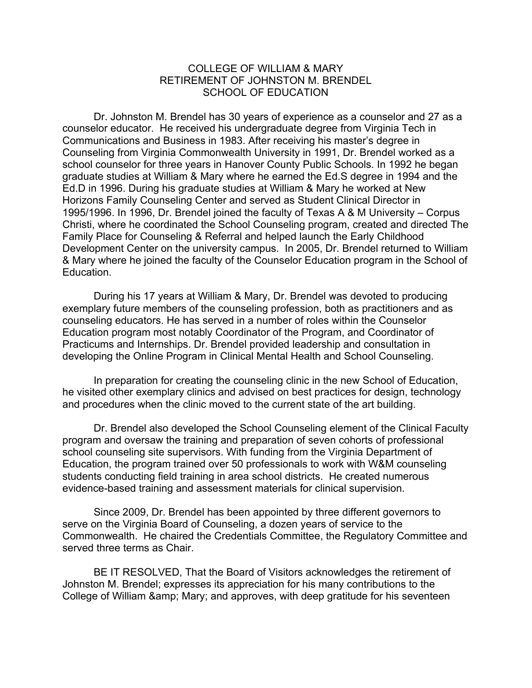## COLLEGE OF WILLIAM & MARY RETIREMENT OF JOHNSTON M. BRENDEL SCHOOL OF EDUCATION

Dr. Johnston M. Brendel has 30 years of experience as a counselor and 27 as a counselor educator. He received his undergraduate degree from Virginia Tech in Communications and Business in 1983. After receiving his master's degree in Counseling from Virginia Commonwealth University in 1991, Dr. Brendel worked as a school counselor for three years in Hanover County Public Schools. In 1992 he began graduate studies at William & Mary where he earned the Ed.S degree in 1994 and the Ed.D in 1996. During his graduate studies at William & Mary he worked at New Horizons Family Counseling Center and served as Student Clinical Director in 1995/1996. In 1996, Dr. Brendel joined the faculty of Texas A & M University – Corpus Christi, where he coordinated the School Counseling program, created and directed The Family Place for Counseling & Referral and helped launch the Early Childhood Development Center on the university campus. In 2005, Dr. Brendel returned to William & Mary where he joined the faculty of the Counselor Education program in the School of Education.

During his 17 years at William & Mary, Dr. Brendel was devoted to producing exemplary future members of the counseling profession, both as practitioners and as counseling educators. He has served in a number of roles within the Counselor Education program most notably Coordinator of the Program, and Coordinator of Practicums and Internships. Dr. Brendel provided leadership and consultation in developing the Online Program in Clinical Mental Health and School Counseling.

In preparation for creating the counseling clinic in the new School of Education, he visited other exemplary clinics and advised on best practices for design, technology and procedures when the clinic moved to the current state of the art building.

Dr. Brendel also developed the School Counseling element of the Clinical Faculty program and oversaw the training and preparation of seven cohorts of professional school counseling site supervisors. With funding from the Virginia Department of Education, the program trained over 50 professionals to work with W&M counseling students conducting field training in area school districts. He created numerous evidence-based training and assessment materials for clinical supervision.

Since 2009, Dr. Brendel has been appointed by three different governors to serve on the Virginia Board of Counseling, a dozen years of service to the Commonwealth. He chaired the Credentials Committee, the Regulatory Committee and served three terms as Chair.

BE IT RESOLVED, That the Board of Visitors acknowledges the retirement of Johnston M. Brendel; expresses its appreciation for his many contributions to the College of William & amp; Mary; and approves, with deep gratitude for his seventeen